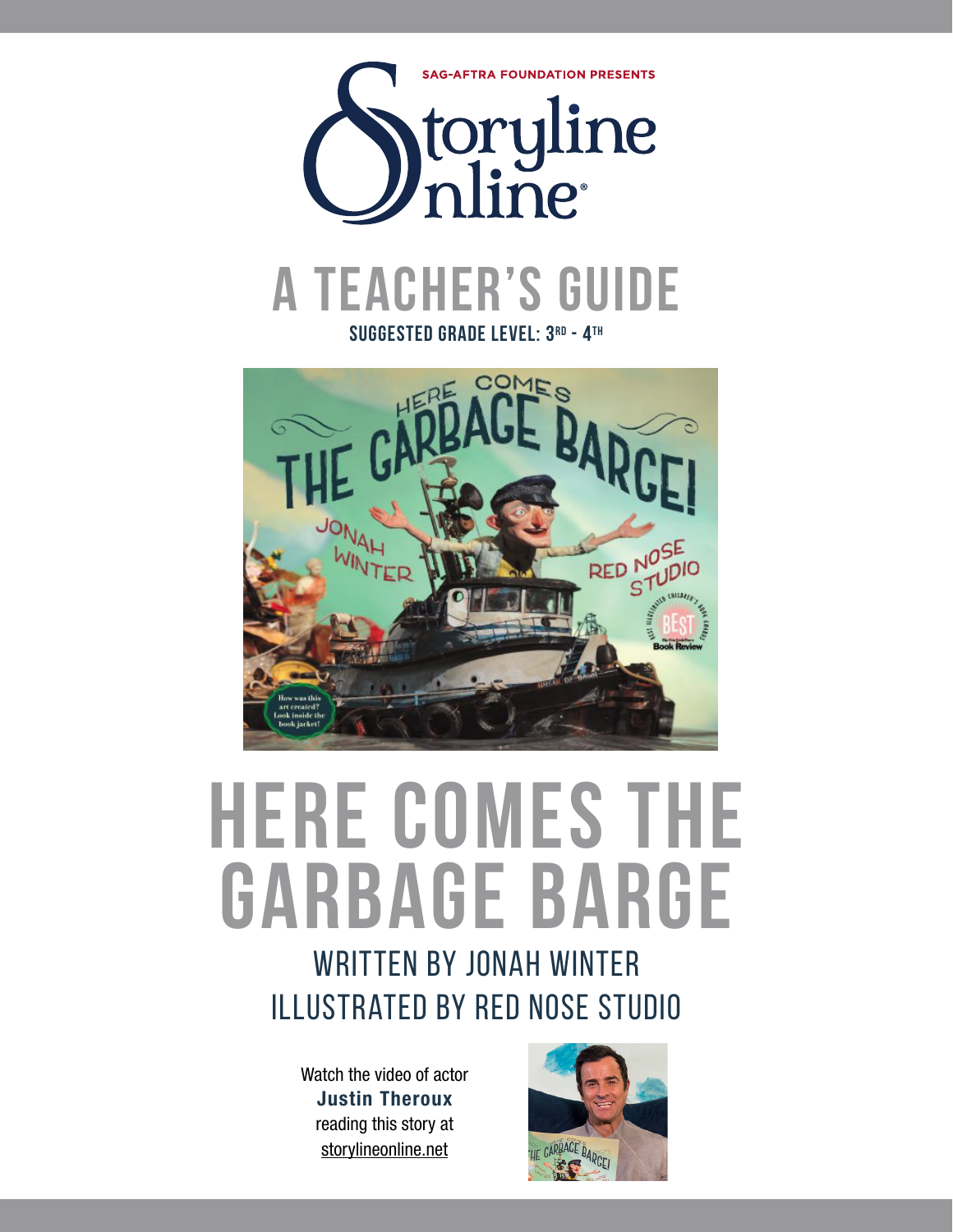

**suggested grade level: 3rd - 4th**



# **here comes the garbage barge**

# WRITTEN BY JONAH WINTER illustrated by red nose studio

Watch the video of actor Justin Theroux reading this story at storylineonline.net

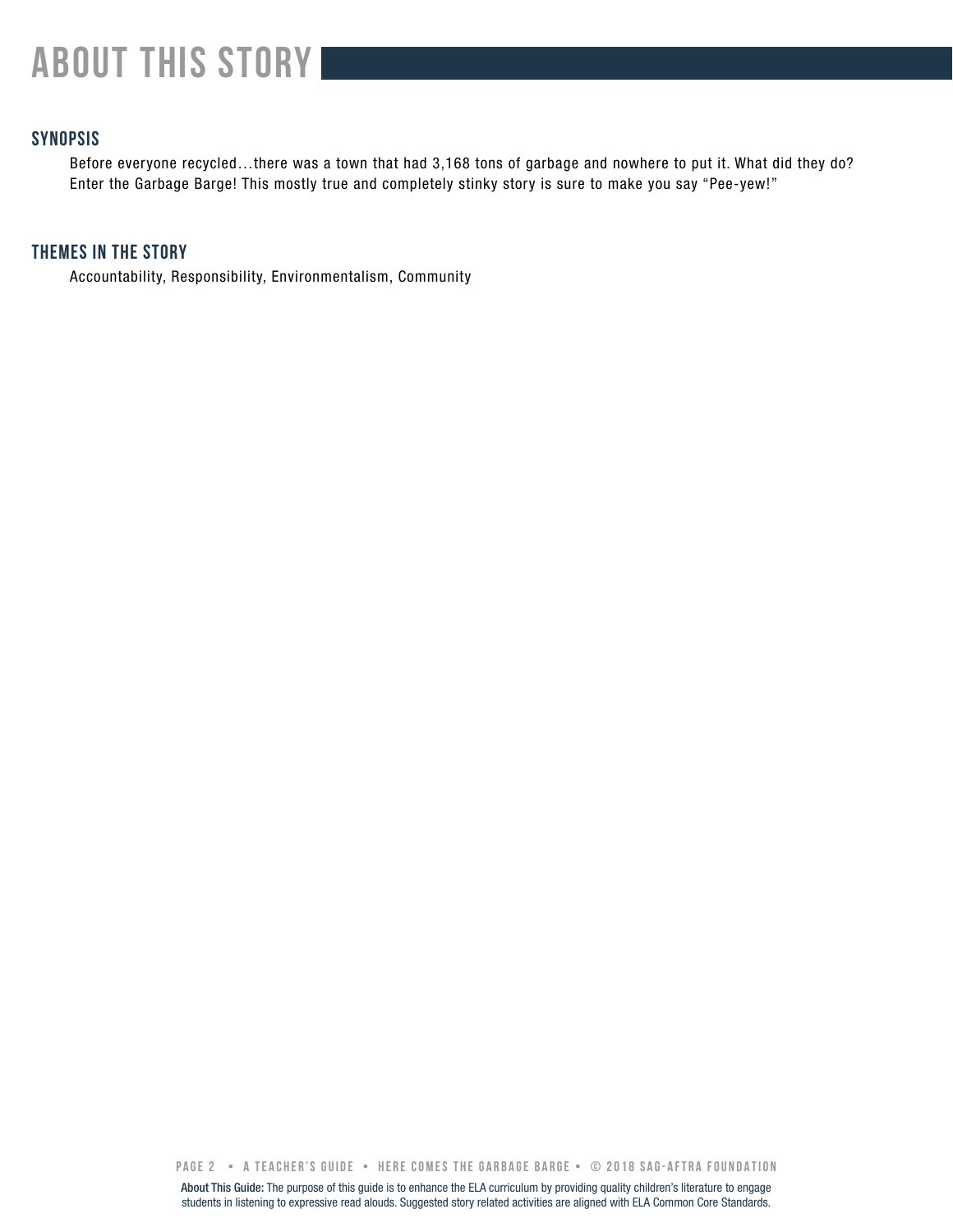# **about this story**

# **SYNOPSIS**

Before everyone recycled…there was a town that had 3,168 tons of garbage and nowhere to put it. What did they do? Enter the Garbage Barge! This mostly true and completely stinky story is sure to make you say "Pee-yew!"

# **THEMES IN THE STORY**

Accountability, Responsibility, Environmentalism, Community

**PAGE 2 • A teacher's GUIDE • here comes the garbage barge • © 2018 SAG-AFTRA FOUNDATION**

About This Guide: The purpose of this guide is to enhance the ELA curriculum by providing quality children's literature to engage students in listening to expressive read alouds. Suggested story related activities are aligned with ELA Common Core Standards.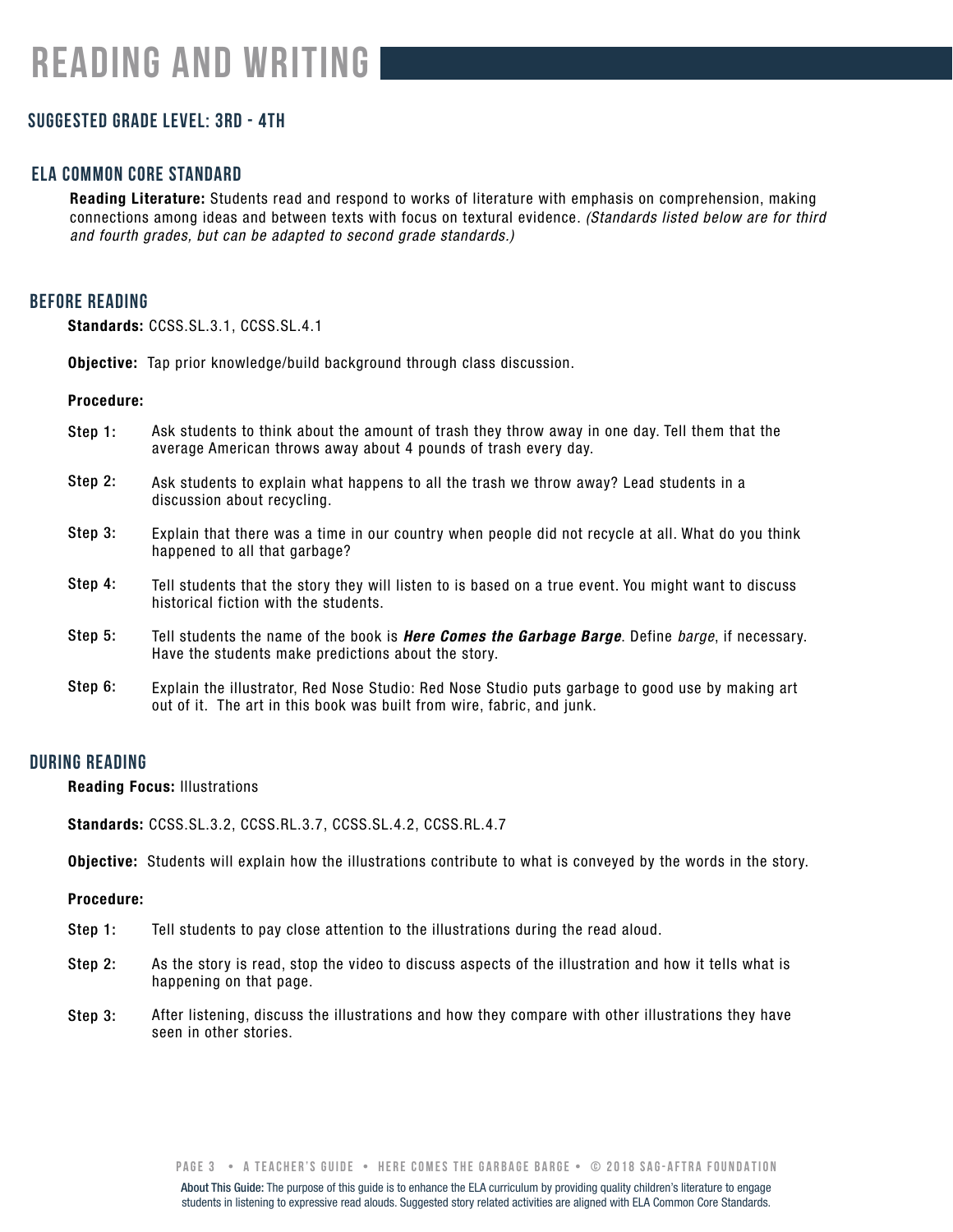# **Suggested grade level: 3rd - 4th**

# **ela common core standard**

Reading Literature: Students read and respond to works of literature with emphasis on comprehension, making connections among ideas and between texts with focus on textural evidence. *(Standards listed below are for third and fourth grades, but can be adapted to second grade standards.)*

# **before reading**

Standards: CCSS.SL.3.1, CCSS.SL.4.1

Objective: Tap prior knowledge/build background through class discussion.

#### Procedure:

- Step 1: Ask students to think about the amount of trash they throw away in one day. Tell them that the average American throws away about 4 pounds of trash every day.
- Step 2: Ask students to explain what happens to all the trash we throw away? Lead students in a discussion about recycling.
- Step 3: Explain that there was a time in our country when people did not recycle at all. What do you think happened to all that garbage?
- Step 4: Tell students that the story they will listen to is based on a true event. You might want to discuss historical fiction with the students.
- Step 5: Tell students the name of the book is *Here Comes the Garbage Barge*. Define *barge*, if necessary. Have the students make predictions about the story.
- Step 6: Explain the illustrator, Red Nose Studio: Red Nose Studio puts garbage to good use by making art out of it. The art in this book was built from wire, fabric, and junk.

### **during reading**

Reading Focus: Illustrations

Standards: CCSS.SL.3.2, CCSS.RL.3.7, CCSS.SL.4.2, CCSS.RL.4.7

Objective: Students will explain how the illustrations contribute to what is conveyed by the words in the story.

#### Procedure:

- Step 1: Tell students to pay close attention to the illustrations during the read aloud.
- Step 2: As the story is read, stop the video to discuss aspects of the illustration and how it tells what is happening on that page.
- Step 3: After listening, discuss the illustrations and how they compare with other illustrations they have seen in other stories.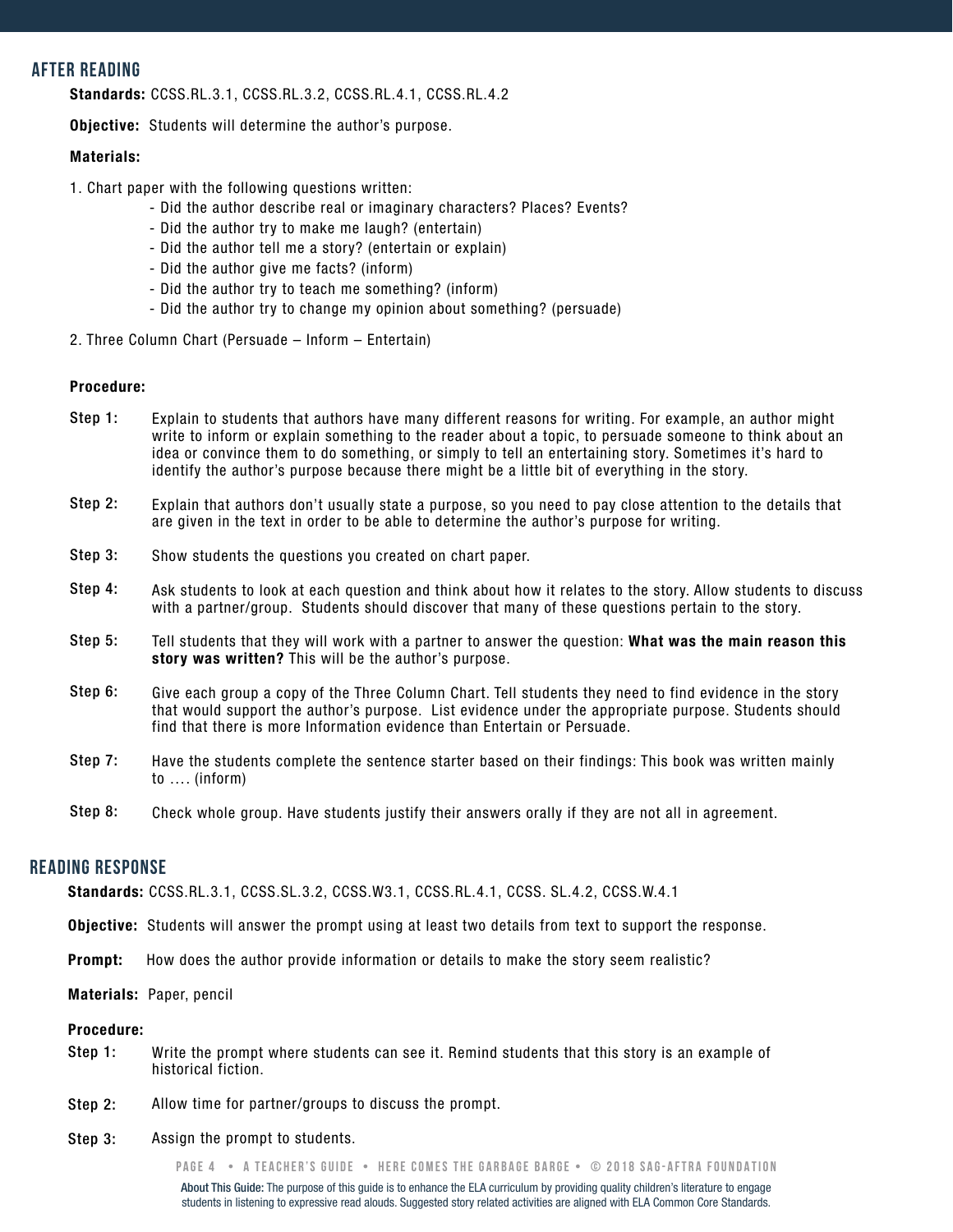# **after reading**

Standards: CCSS.RL.3.1, CCSS.RL.3.2, CCSS.RL.4.1, CCSS.RL.4.2

**Objective:** Students will determine the author's purpose.

#### Materials:

- 1. Chart paper with the following questions written:
	- Did the author describe real or imaginary characters? Places? Events?
	- Did the author try to make me laugh? (entertain)
	- Did the author tell me a story? (entertain or explain)
	- Did the author give me facts? (inform)
	- Did the author try to teach me something? (inform)
	- Did the author try to change my opinion about something? (persuade)
- 2. Three Column Chart (Persuade Inform Entertain)

#### Procedure:

- Step 1: Explain to students that authors have many different reasons for writing. For example, an author might write to inform or explain something to the reader about a topic, to persuade someone to think about an idea or convince them to do something, or simply to tell an entertaining story. Sometimes it's hard to identify the author's purpose because there might be a little bit of everything in the story.
- Step 2: Explain that authors don't usually state a purpose, so you need to pay close attention to the details that are given in the text in order to be able to determine the author's purpose for writing.
- Step 3: Show students the questions you created on chart paper.
- Step 4: Ask students to look at each question and think about how it relates to the story. Allow students to discuss with a partner/group. Students should discover that many of these questions pertain to the story.
- Step 5: Tell students that they will work with a partner to answer the question: What was the main reason this story was written? This will be the author's purpose.
- Step 6: Give each group a copy of the Three Column Chart. Tell students they need to find evidence in the story that would support the author's purpose. List evidence under the appropriate purpose. Students should find that there is more Information evidence than Entertain or Persuade.
- Step 7: Have the students complete the sentence starter based on their findings: This book was written mainly to …. (inform)
- Step 8: Check whole group. Have students justify their answers orally if they are not all in agreement.

## **READING RESPONSE**

Standards: CCSS.RL.3.1, CCSS.SL.3.2, CCSS.W3.1, CCSS.RL.4.1, CCSS. SL.4.2, CCSS.W.4.1

- Objective: Students will answer the prompt using at least two details from text to support the response.
- Prompt: How does the author provide information or details to make the story seem realistic?

Materials: Paper, pencil

#### Procedure:

- Step 1: Write the prompt where students can see it. Remind students that this story is an example of historical fiction.
- Step 2: Allow time for partner/groups to discuss the prompt.
- Step 3: Assign the prompt to students.

**PAGE 4 • A teacher's GUIDE • here comes the garbage barge • © 2018 SAG-AFTRA FOUNDATION**

About This Guide: The purpose of this guide is to enhance the ELA curriculum by providing quality children's literature to engage students in listening to expressive read alouds. Suggested story related activities are aligned with ELA Common Core Standards.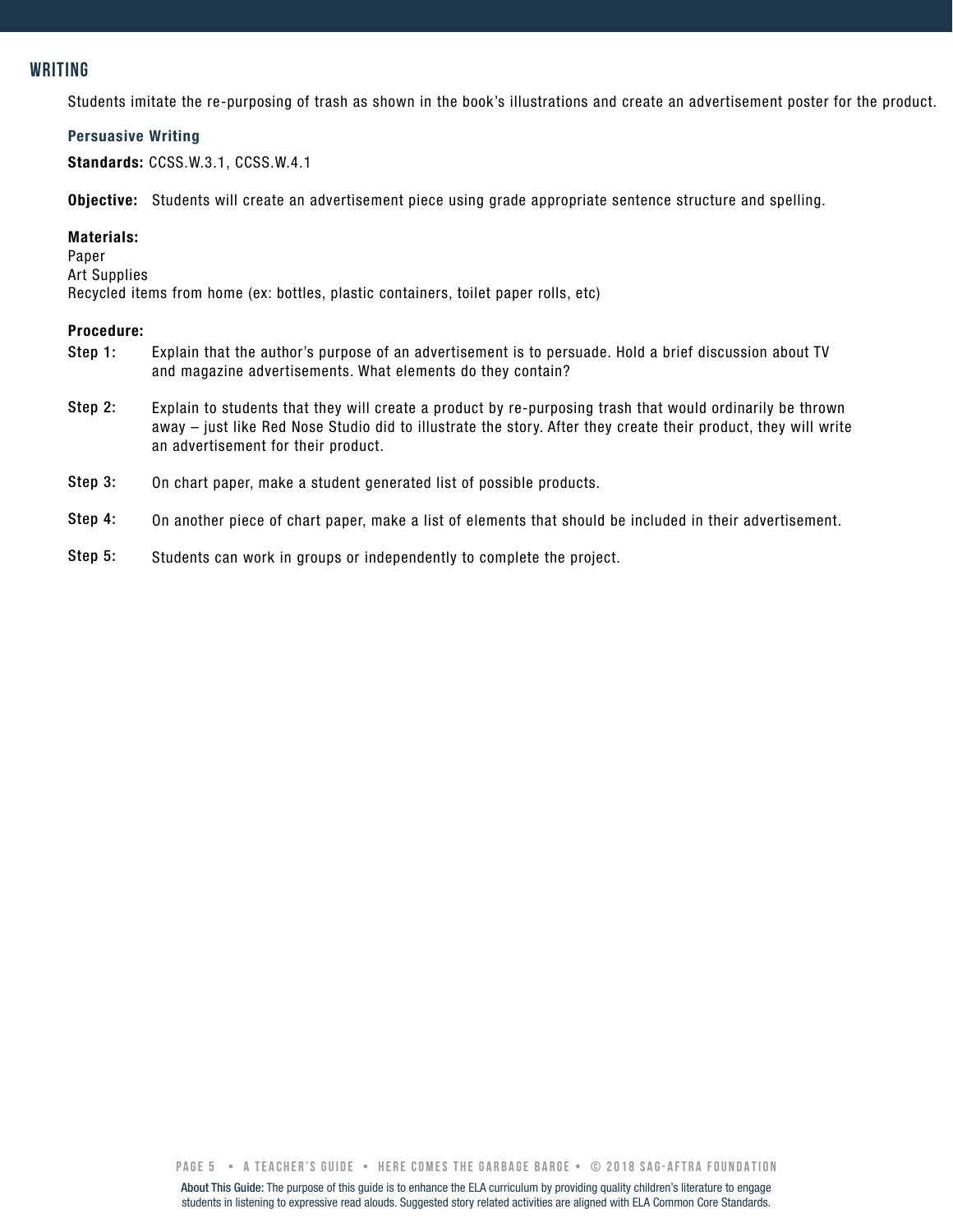# **writing**

Students imitate the re-purposing of trash as shown in the book's illustrations and create an advertisement poster for the product.

#### Persuasive Writing

Standards: CCSS.W.3.1, CCSS.W.4.1

Objective: Students will create an advertisement piece using grade appropriate sentence structure and spelling.

#### Materials:

Paper

Art Supplies

Recycled items from home (ex: bottles, plastic containers, toilet paper rolls, etc)

#### Procedure:

- Step 1: Explain that the author's purpose of an advertisement is to persuade. Hold a brief discussion about TV and magazine advertisements. What elements do they contain?
- Step 2: Explain to students that they will create a product by re-purposing trash that would ordinarily be thrown away – just like Red Nose Studio did to illustrate the story. After they create their product, they will write an advertisement for their product.
- Step 3: On chart paper, make a student generated list of possible products.
- Step 4: On another piece of chart paper, make a list of elements that should be included in their advertisement.
- Step 5: Students can work in groups or independently to complete the project.

**PAGE 5 • A teacher's GUIDE • here comes the garbage barge • © 2018 SAG-AFTRA FOUNDATION**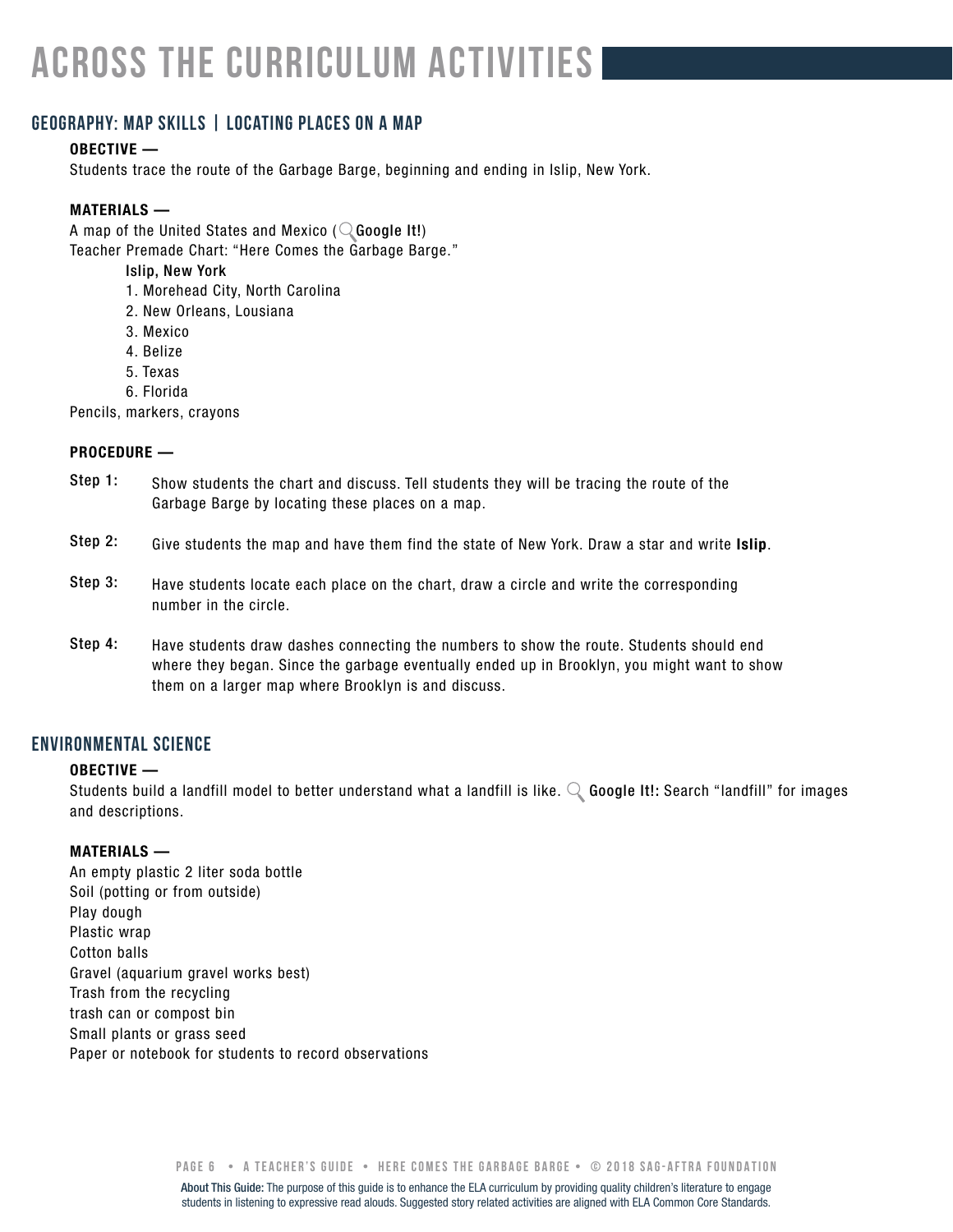# **across the curriculum activities**

# **geography: map skills | locating places on a map**

#### OBECTIVE —

Students trace the route of the Garbage Barge, beginning and ending in Islip, New York.

#### MATERIALS —

A map of the United States and Mexico ( $\mathbb Q$  Google It!) Teacher Premade Chart: "Here Comes the Garbage Barge."

- Islip, New York
- 1. Morehead City, North Carolina
- 2. New Orleans, Lousiana
- 3. Mexico
- 4. Belize
- 5. Texas
- 6. Florida

Pencils, markers, crayons

#### PROCEDURE —

- Show students the chart and discuss. Tell students they will be tracing the route of the Garbage Barge by locating these places on a map. Step 1:
- Give students the map and have them find the state of New York. Draw a star and write Islip. Step 2:
- Have students locate each place on the chart, draw a circle and write the corresponding number in the circle. Step 3:
- Have students draw dashes connecting the numbers to show the route. Students should end where they began. Since the garbage eventually ended up in Brooklyn, you might want to show them on a larger map where Brooklyn is and discuss. Step 4:

# **environmental science**

#### OBECTIVE —

Students build a landfill model to better understand what a landfill is like.  $\mathbb Q$  Google It!: Search "landfill" for images and descriptions.

#### MATERIALS —

An empty plastic 2 liter soda bottle Soil (potting or from outside) Play dough Plastic wrap Cotton balls Gravel (aquarium gravel works best) Trash from the recycling trash can or compost bin Small plants or grass seed Paper or notebook for students to record observations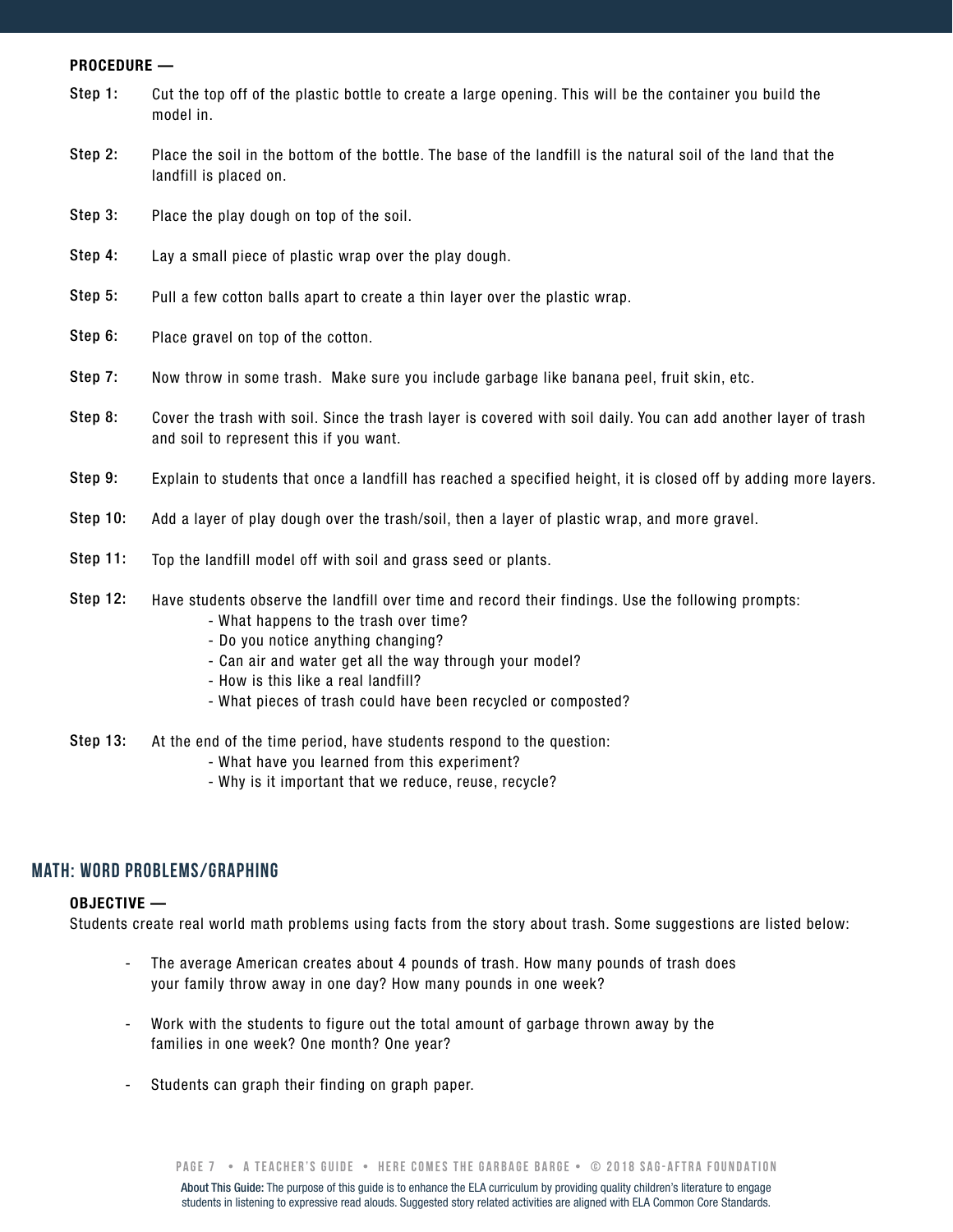#### PROCEDURE —

- Cut the top off of the plastic bottle to create a large opening. This will be the container you build the model in. Step 1:
- Place the soil in the bottom of the bottle. The base of the landfill is the natural soil of the land that the landfill is placed on. Step 2:
- Place the play dough on top of the soil. Step 3:
- Lay a small piece of plastic wrap over the play dough. Step 4:
- Pull a few cotton balls apart to create a thin layer over the plastic wrap. Step 5:
- Place gravel on top of the cotton. Step 6:
- Now throw in some trash. Make sure you include garbage like banana peel, fruit skin, etc. Step 7:
- Cover the trash with soil. Since the trash layer is covered with soil daily. You can add another layer of trash and soil to represent this if you want. Step 8:
- Explain to students that once a landfill has reached a specified height, it is closed off by adding more layers. Step 9:
- Add a layer of play dough over the trash/soil, then a layer of plastic wrap, and more gravel. Step 10:
- Top the landfill model off with soil and grass seed or plants. Step 11:
- Have students observe the landfill over time and record their findings. Use the following prompts: Step 12:
	- What happens to the trash over time?
	- Do you notice anything changing?
	- Can air and water get all the way through your model?
	- How is this like a real landfill?
	- What pieces of trash could have been recycled or composted?
- At the end of the time period, have students respond to the question: Step 13:
	- What have you learned from this experiment?
	- Why is it important that we reduce, reuse, recycle?

## **Math: WORD PROBLEMS/GRAPHING**

#### OBJECTIVE —

Students create real world math problems using facts from the story about trash. Some suggestions are listed below:

- The average American creates about 4 pounds of trash. How many pounds of trash does your family throw away in one day? How many pounds in one week? -
- Work with the students to figure out the total amount of garbage thrown away by the families in one week? One month? One year? -
- Students can graph their finding on graph paper. -